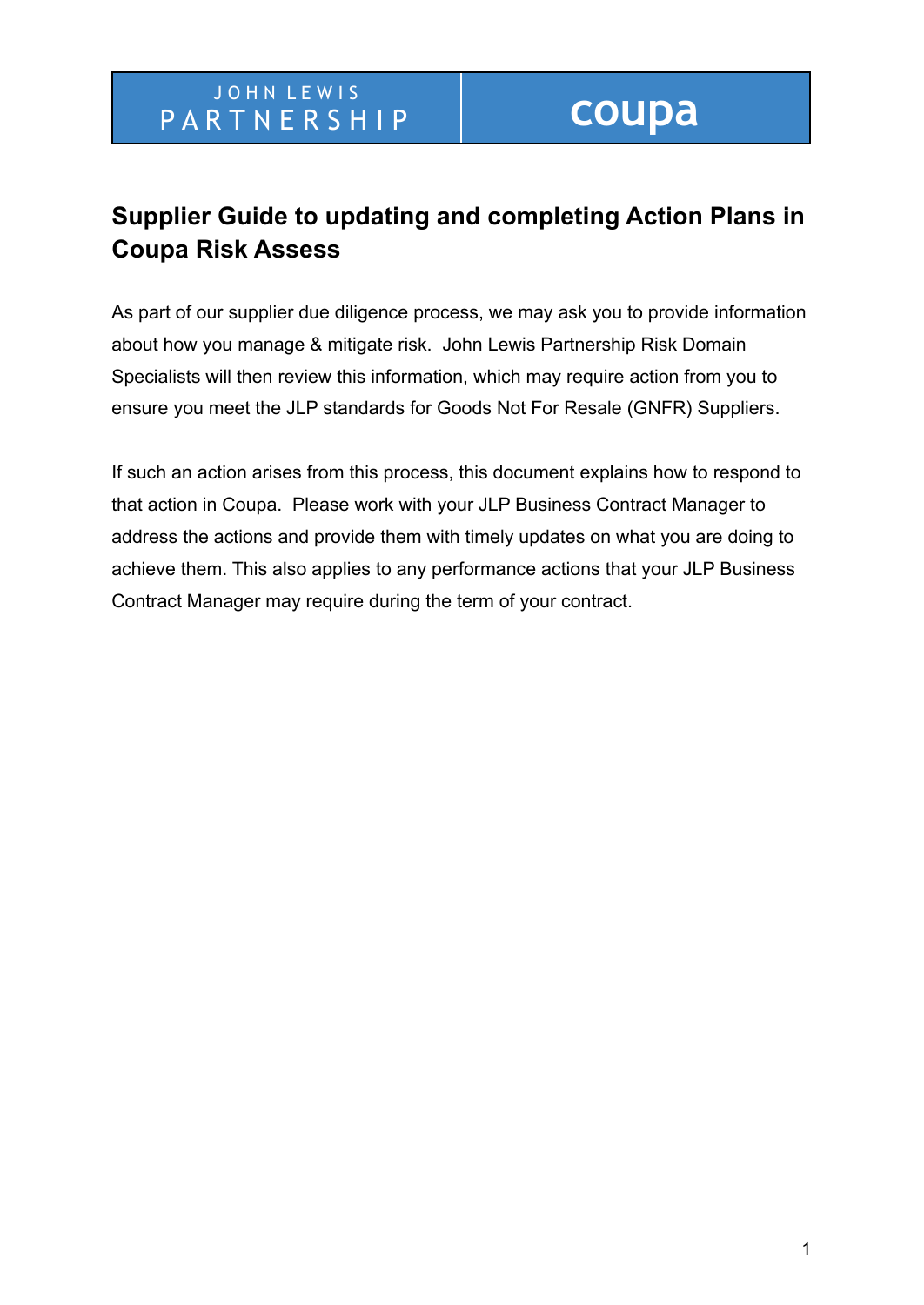# **Supplier Guide to updating and completing Action Plans in Coupa Risk Assess**

As part of our supplier due diligence process, we may ask you to provide information about how you manage & mitigate risk. John Lewis Partnership Risk Domain Specialists will then review this information, which may require action from you to ensure you meet the JLP standards for Goods Not For Resale (GNFR) Suppliers.

If such an action arises from this process, this document explains how to respond to that action in Coupa. Please work with your JLP Business Contract Manager to address the actions and provide them with timely updates on what you are doing to achieve them. This also applies to any performance actions that your JLP Business Contract Manager may require during the term of your contract.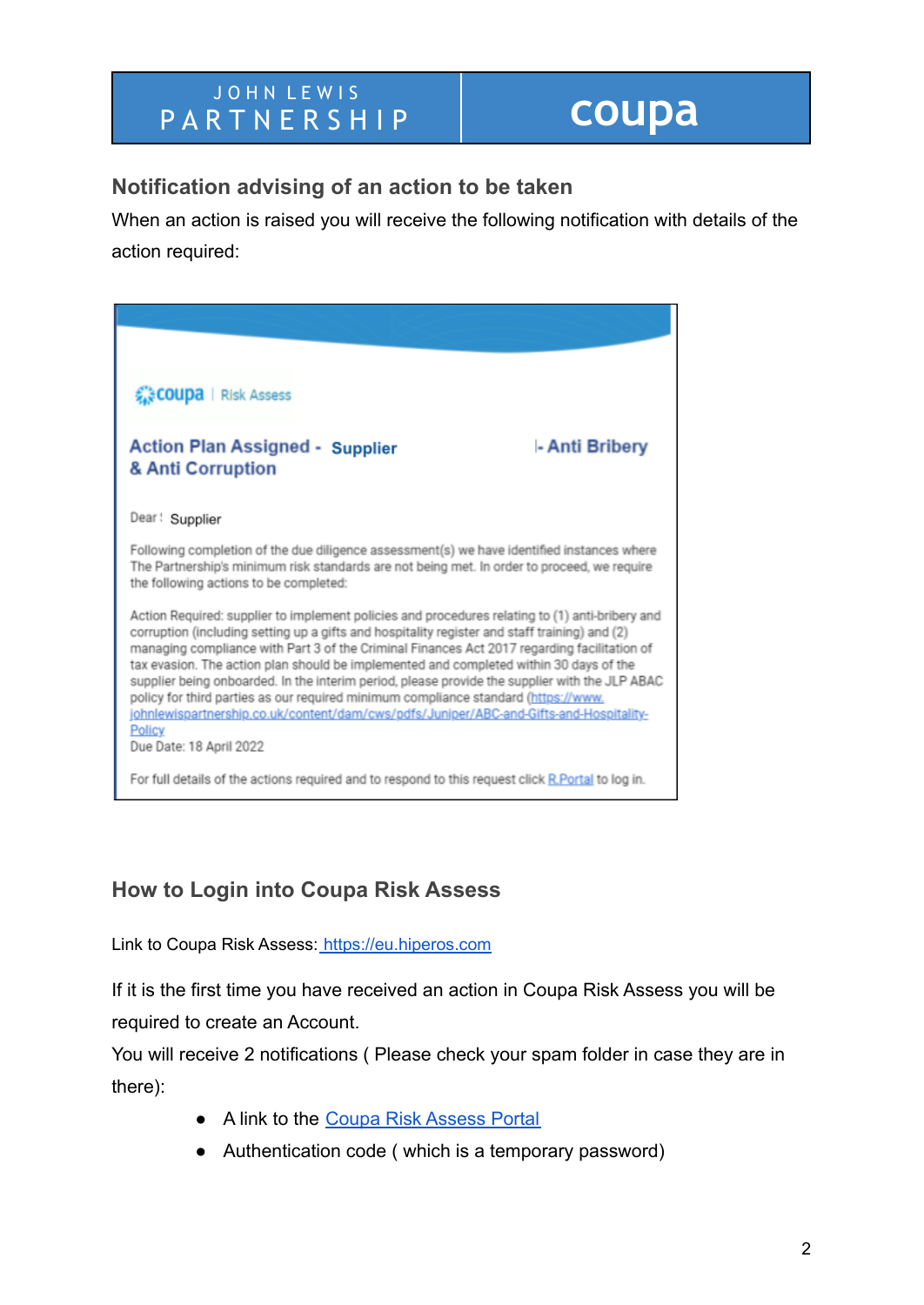### JOHN LEWIS PARTNERSHIP **COUPA**

### **Notification advising of an action to be taken**

When an action is raised you will receive the following notification with details of the action required:



### **How to Login into Coupa Risk Assess**

Link to Coupa Risk Assess: <https://eu.hiperos.com>

If it is the first time you have received an action in Coupa Risk Assess you will be required to create an Account.

You will receive 2 notifications ( Please check your spam folder in case they are in there):

- A link to the [Coupa Risk Assess Portal](https://eu.hiperos.com/Account/Login?ReturnUrl=%2fAccount)
- Authentication code ( which is a temporary password)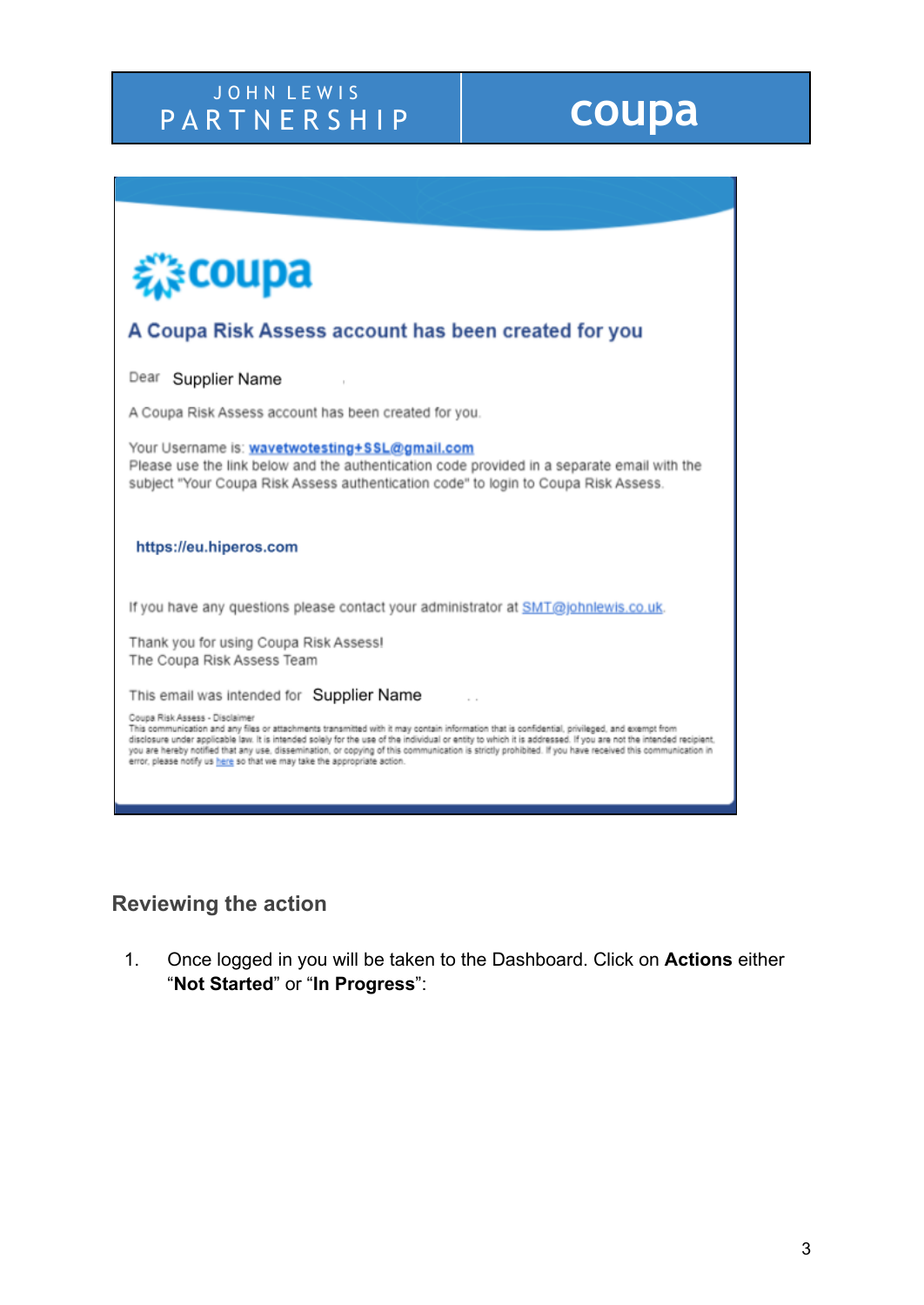# J O H N L E W I S PARTNERSHIP **COUPA**

| <b>Ecoupa</b>                                                                                                                                                                                                                                                                                                                                                                                                                                                                                                                                                                              |
|--------------------------------------------------------------------------------------------------------------------------------------------------------------------------------------------------------------------------------------------------------------------------------------------------------------------------------------------------------------------------------------------------------------------------------------------------------------------------------------------------------------------------------------------------------------------------------------------|
| A Coupa Risk Assess account has been created for you                                                                                                                                                                                                                                                                                                                                                                                                                                                                                                                                       |
| Dear Supplier Name                                                                                                                                                                                                                                                                                                                                                                                                                                                                                                                                                                         |
| A Coupa Risk Assess account has been created for you.                                                                                                                                                                                                                                                                                                                                                                                                                                                                                                                                      |
| Your Username is: wavetwotesting+SSL@gmail.com<br>Please use the link below and the authentication code provided in a separate email with the<br>subject "Your Coupa Risk Assess authentication code" to login to Coupa Risk Assess.                                                                                                                                                                                                                                                                                                                                                       |
| https://eu.hiperos.com                                                                                                                                                                                                                                                                                                                                                                                                                                                                                                                                                                     |
| If you have any questions please contact your administrator at SMT@johnlewis.co.uk.                                                                                                                                                                                                                                                                                                                                                                                                                                                                                                        |
| Thank you for using Coupa Risk Assess!<br>The Coupa Risk Assess Team                                                                                                                                                                                                                                                                                                                                                                                                                                                                                                                       |
| This email was intended for Supplier Name                                                                                                                                                                                                                                                                                                                                                                                                                                                                                                                                                  |
| Coupa Risk Assess - Disclaimer<br>This communication and any files or attachments transmitted with it may contain information that is confidential, privileged, and exempt from<br>disclosure under applicable law. It is intended solely for the use of the individual or entity to which it is addressed. If you are not the intended recipient,<br>you are hereby notified that any use, dissemination, or copying of this communication is strictly prohibited. If you have received this communication in<br>error, please notify us here so that we may take the appropriate action. |
|                                                                                                                                                                                                                                                                                                                                                                                                                                                                                                                                                                                            |

## **Reviewing the action**

1. Once logged in you will be taken to the Dashboard. Click on **Actions** either "**Not Started**" or "**In Progress**":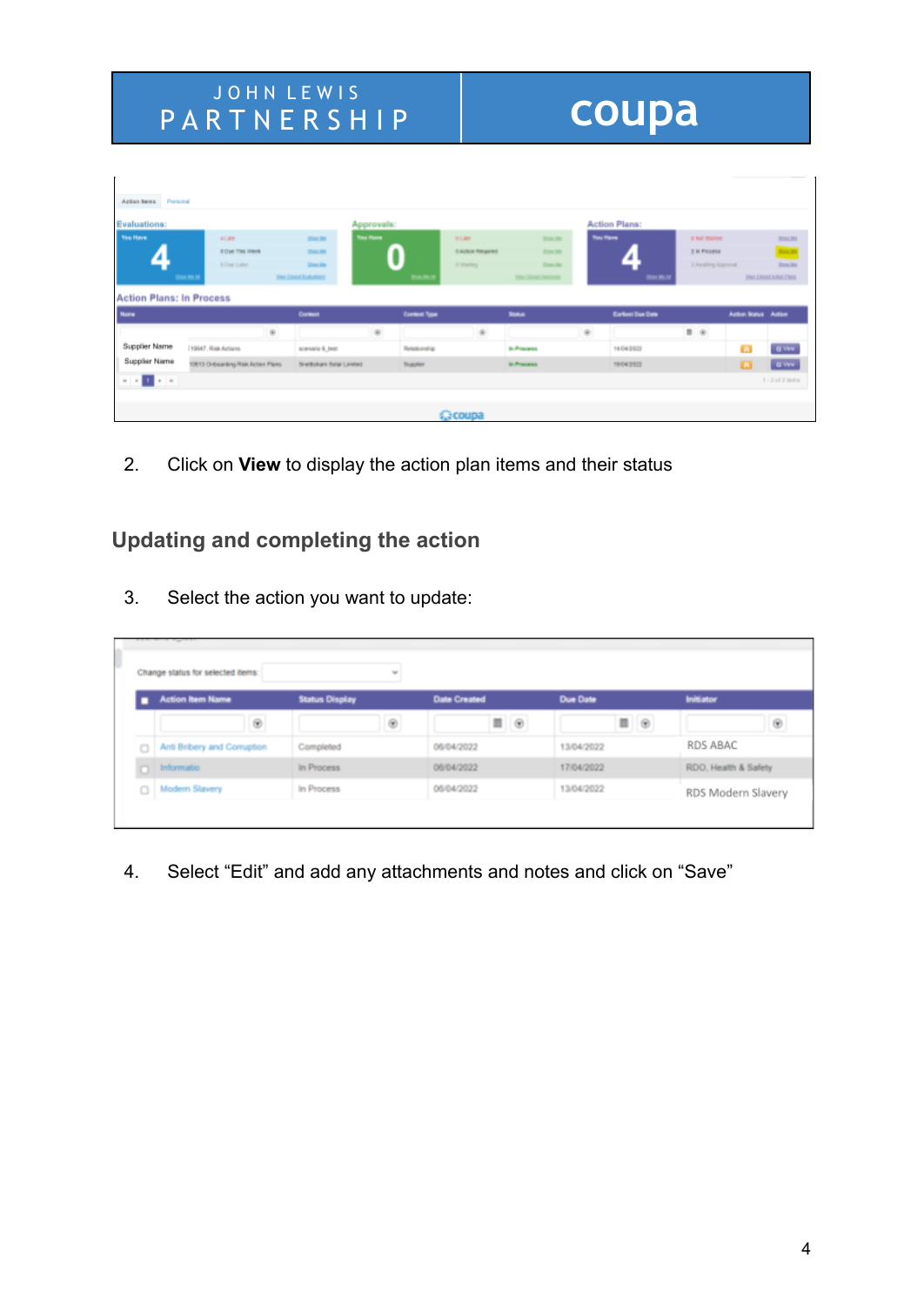### J O H N L E W I S PARTNERSHIP **COUPA**

| Astion Items Personal                |                                    |                                 |                 |              |                       |                                   |                 |                          |                            |                      |                                 |
|--------------------------------------|------------------------------------|---------------------------------|-----------------|--------------|-----------------------|-----------------------------------|-----------------|--------------------------|----------------------------|----------------------|---------------------------------|
| Evaluations:                         |                                    |                                 | Approvals:      |              |                       |                                   |                 | <b>Action Plans:</b>     |                            |                      |                                 |
| <b>You Have</b>                      | 41,898                             | <b>Share Mrs</b>                | <b>You Hove</b> |              | <b>DUMH</b>           | <b>Trin 30</b>                    | <b>You Have</b> |                          | <b><i>U MIL Blaned</i></b> |                      | <b>Black Md</b>                 |
|                                      | <b>8 Due This Week</b>             | <b>Share Mrs</b>                |                 |              | <b>GAINA Required</b> | <b>Trin Str.</b>                  |                 |                          | 2 la Piccess               |                      | <b>Book</b>                     |
|                                      | <b>G Chase Ladier</b>              | <b>Chase May</b>                |                 |              | 0-Harling             | Don Ha                            |                 |                          | 3 Awaiting Approval        |                      | Show Mar                        |
|                                      | <b>Star Mr. N</b>                  | <b>Year Closed Evaluations</b>  |                 | m            |                       | <b><i>Vice Cheed Assesses</i></b> |                 | <b>IRMS MAJN</b>         |                            |                      | <b>Yer: Closed Action Plans</b> |
| <b>Action Plans: In Process</b>      |                                    |                                 |                 |              |                       |                                   |                 |                          |                            |                      |                                 |
| <b>Name</b>                          |                                    | Contest                         |                 | Cortest Type |                       | <b>Suna</b>                       |                 | <b>Earliest Due Date</b> |                            | Aztion Status Aztion |                                 |
|                                      | $\circ$                            |                                 | $\circ$         |              | $\circ$               |                                   | $\circ$         |                          | $\equiv$ $\infty$          |                      |                                 |
| Supplier Name                        | 19947. Risk Actions                | scenario 4, test                |                 | Relationship |                       | to Process                        |                 | 14/04/2022               |                            | m                    | <b>G Very</b>                   |
| Supplier Name                        | 10613 Onboarding Risk Action Plans | <b>Brettshare Solar Limited</b> |                 | Supplier     |                       | <b>St. Process</b>                |                 | 18/04/2022               |                            | п                    | <b>GWW</b>                      |
| $\vert n \vert \vert \ll 1$ , we set |                                    |                                 |                 |              |                       |                                   |                 |                          |                            |                      | $1 - 2$ of 2 items              |
|                                      |                                    |                                 |                 |              |                       |                                   |                 |                          |                            |                      |                                 |
|                                      |                                    |                                 |                 |              | <b>C</b> coupa        |                                   |                 |                          |                            |                      |                                 |
|                                      |                                    |                                 |                 |              |                       |                                   |                 |                          |                            |                      |                                 |

2. Click on **View** to display the action plan items and their status

### **Updating and completing the action**

3. Select the action you want to update:

|   | Change status for selected items: |                       |                     |                                 |                      |
|---|-----------------------------------|-----------------------|---------------------|---------------------------------|----------------------|
|   | <b>Action Item Name</b>           | <b>Status Display</b> | <b>Date Created</b> | <b>Due Date</b>                 | <b>Initiator</b>     |
|   |                                   |                       | $\blacksquare$      | $\mathbb{H} \quad \circledcirc$ |                      |
| o | Anti Bribery and Corruption       | Completed             | 06/04/2022          | 13/04/2022                      | RDS ABAC             |
|   | nformatio                         | In Process            | 06/04/2022          | 17/04/2022                      | RDO, Health & Safety |
|   | Modern Slavery                    | In Process            | 06/04/2022          | 13/04/2022                      | RDS Modern Slavery   |

4. Select "Edit" and add any attachments and notes and click on "Save"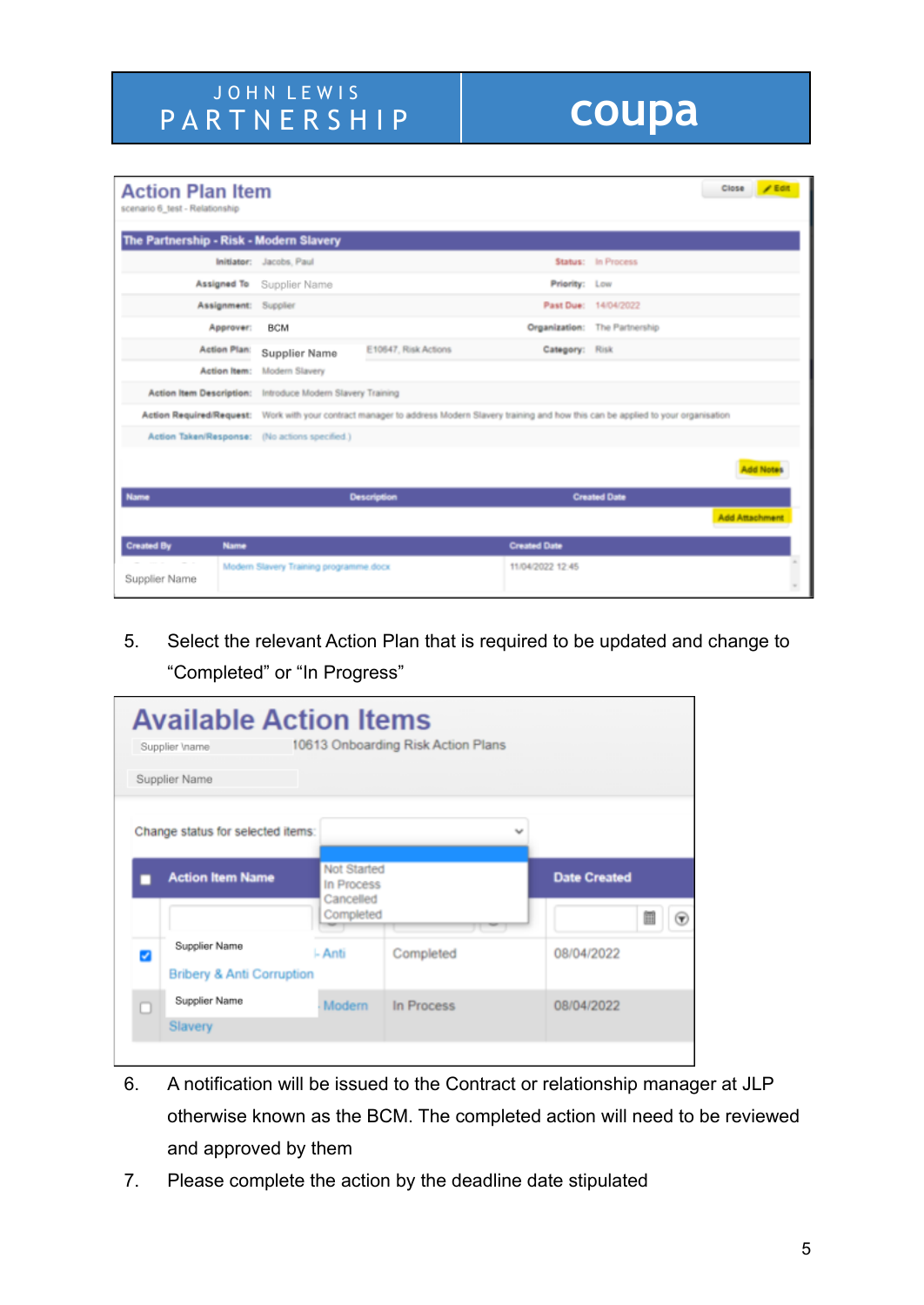| <b>Action Plan Item</b><br>scenario 6 test - Relationship                                                                                    |                                                |                                                            |                     |                               |                       | Close / Edit |  |  |
|----------------------------------------------------------------------------------------------------------------------------------------------|------------------------------------------------|------------------------------------------------------------|---------------------|-------------------------------|-----------------------|--------------|--|--|
| The Partnership - Risk - Modern Slavery                                                                                                      |                                                |                                                            |                     |                               |                       |              |  |  |
|                                                                                                                                              | Initiator: Jacobs, Paul                        |                                                            |                     | Status: In Process            |                       |              |  |  |
| Assigned To                                                                                                                                  | Supplier Name                                  |                                                            | Priority: Low       |                               |                       |              |  |  |
| Assignment: Supplier                                                                                                                         |                                                |                                                            |                     | Past Due: 14/04/2022          |                       |              |  |  |
| Approver:                                                                                                                                    | <b>BCM</b>                                     |                                                            |                     | Organization: The Partnership |                       |              |  |  |
| <b>Action Plan:</b>                                                                                                                          | <b>Supplier Name</b>                           | E10647, Risk Actions                                       | Category: Risk      |                               |                       |              |  |  |
| Action Item:                                                                                                                                 | Modern Slavery                                 |                                                            |                     |                               |                       |              |  |  |
|                                                                                                                                              |                                                | Action Item Description: Introduce Modern Slavery Training |                     |                               |                       |              |  |  |
| Action Required/Request: Work with your contract manager to address Modern Slavery training and how this can be applied to your organisation |                                                |                                                            |                     |                               |                       |              |  |  |
|                                                                                                                                              | Action Taken/Response: (No actions specified.) |                                                            |                     |                               |                       |              |  |  |
|                                                                                                                                              |                                                |                                                            |                     |                               |                       |              |  |  |
| Name                                                                                                                                         |                                                | <b>Description</b>                                         |                     | <b>Created Date</b>           |                       |              |  |  |
|                                                                                                                                              |                                                |                                                            |                     |                               | <b>Add Attachment</b> |              |  |  |
| <b>Created By</b><br><b>Name</b>                                                                                                             |                                                |                                                            | <b>Created Date</b> |                               |                       |              |  |  |
| <b>Service</b><br>Supplier Name                                                                                                              | Modern Slavery Training programme.docx         |                                                            | 11/04/2022 12:45    |                               |                       |              |  |  |

5. Select the relevant Action Plan that is required to be updated and change to "Completed" or "In Progress"

| <b>Available Action Items</b><br>Supplier \name       |                                        | 10613 Onboarding Risk Action Plans |                     |
|-------------------------------------------------------|----------------------------------------|------------------------------------|---------------------|
| Supplier Name                                         |                                        |                                    |                     |
| Change status for selected items:                     |                                        | v                                  |                     |
| <b>Action Item Name</b>                               | Not Started<br>In Process<br>Cancelled |                                    | <b>Date Created</b> |
|                                                       | Completed                              |                                    | $\mathcal{F}$       |
| Supplier Name<br><b>Bribery &amp; Anti Corruption</b> | l- Anti                                | Completed                          | 08/04/2022          |
| Supplier Name                                         | Modern                                 | In Process                         | 08/04/2022          |
| Slavery                                               |                                        |                                    |                     |

- 6. A notification will be issued to the Contract or relationship manager at JLP otherwise known as the BCM. The completed action will need to be reviewed and approved by them
- 7. Please complete the action by the deadline date stipulated